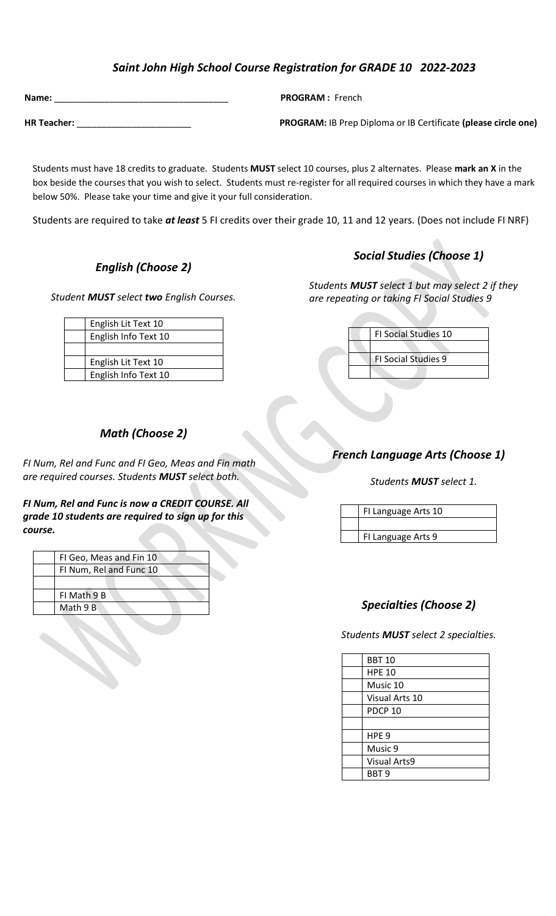# *Saint John High School Course Registration for GRADE 10 2022-2023*

| Name:              |  |
|--------------------|--|
|                    |  |
| <b>HR Teacher:</b> |  |

 $PROGRAM:$  French

**PROGRAM:** IB Prep Diploma or IB Certificate (please circle one)

 Students must have 18 credits to graduate. Students **MUST** select 10 courses, plus 2 alternates. Please **mark an X** in the box beside the courses that you wish to select. Students must re-register for all required courses in which they have a mark below 50%. Please take your time and give it your full consideration.

Students are required to take *at least* 5 FI credits over their grade 10, 11 and 12 years. (Does not include FI NRF)

# ${\bf \emph{English (Choose 2)}}$

*Student MUST select two English Courses.*

English Lit Text 10 English Info Text 10

English Lit Text 10 English Info Text 10

# *Social Studies (Choose 1)*

*Students MUST select 1 but may select 2 if they are repeating or taking FI Social Studies 9* 

|  | FI Social Studies 10       |
|--|----------------------------|
|  |                            |
|  | <b>FI Social Studies 9</b> |
|  |                            |

## *Math (Choose 2)*

*FI Num, Rel and Func and FI Geo, Meas and Fin math are required courses. Students MUST select both.* 

*FI Num, Rel and Func is now a CREDIT COURSE. All grade 10 students are required to sign up for this course.*

| FI Geo, Meas and Fin 10 |
|-------------------------|
| FI Num, Rel and Func 10 |
|                         |
| FI Math 9 B             |
| Math 9 B                |
|                         |

*French Language Arts (Choose 1)*

*Students MUST select 1.*

FI Language Arts 10 FI Language Arts 9

## *Specialties (Choose 2)*

*Students MUST select 2 specialties.*

| <b>BBT 10</b>       |
|---------------------|
| <b>HPE 10</b>       |
| Music 10            |
| Visual Arts 10      |
| PDCP <sub>10</sub>  |
|                     |
| HPE <sub>9</sub>    |
| Music 9             |
| <b>Visual Arts9</b> |
| BBT <sub>9</sub>    |